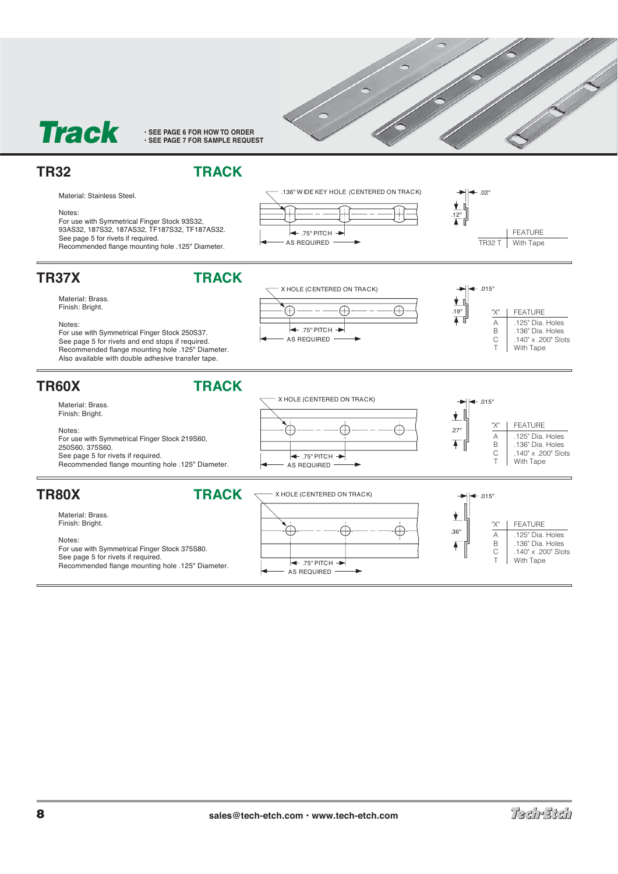

# **TR32 TRACK**



### Notes:

For use with Symmetrical Finger Stock 93S32, 93AS32, 187S32, 187AS32, TF187S32, TF187AS32. See page 5 for rivets if required. Recommended flange mounting hole .125" Diameter.





 $\bullet$  .015"

.19"

y d

"X" | FEATURE A .125" Dia. Holes<br>B .136" Dia. Holes 136" Dia. Holes C .140" x .200" Slots T With Tape

C .140" x .200" Slots T With Tape





Notes:

For use with Symmetrical Finger Stock 250S37. See page 5 for rivets and end stops if required. Recommended flange mounting hole .125" Diameter. Also available with double adhesive transfer tape.



 $\leftarrow$  .75" PITCH  $\rightarrow$ 

AS REQUIRED  $\leftarrow$  .75" PITCH  $\rightarrow$ 

Æ

X HOLE (CENTERED ON TRACK)

Æ

Æ

Notes: For use with Symmetrical Finger Stock 375S80. See page 5 for rivets if required. Recommended flange mounting hole .125" Diameter.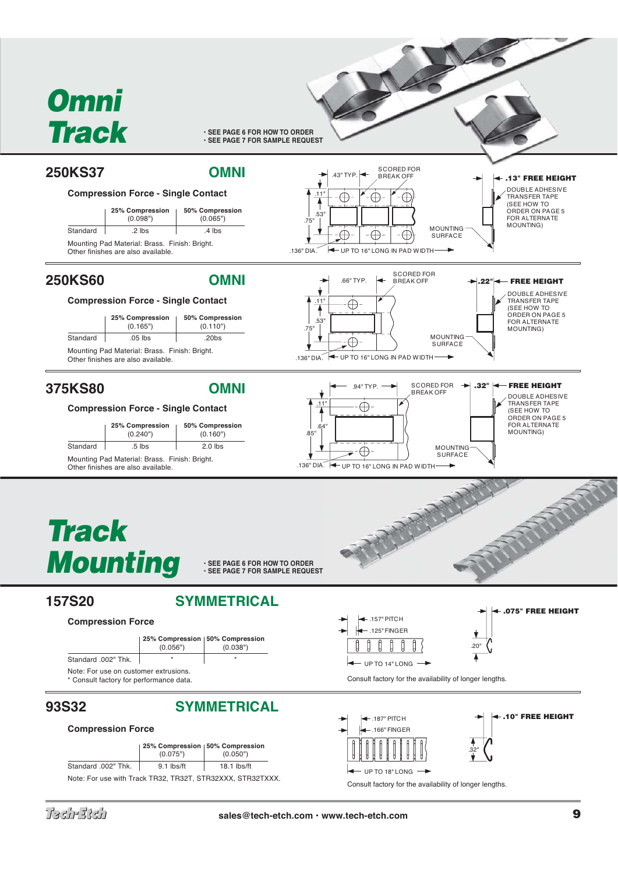# *Omni Track*

**• SEE PAGE 6 FOR HOW TO ORDER • SEE PAGE 7 FOR SAMPLE REQUEST**





# **93S32 SYMMETRICAL**

## **Compression Force**





UP TO 14" LONG

**.10" FREE HEIGHT**

.32"



Consult factory for the availability of longer lengths.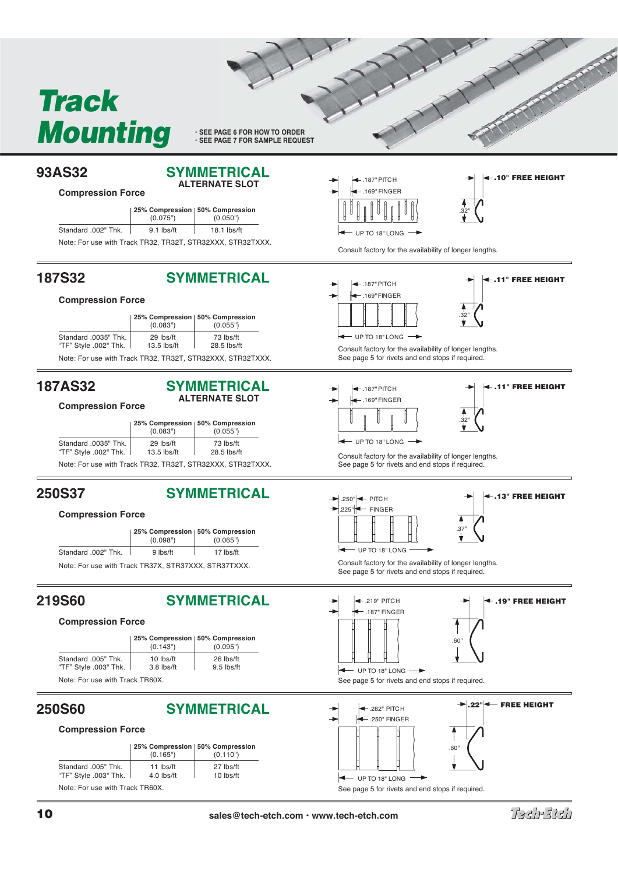# *Track Mounting*

**• SEE PAGE 6 FOR HOW TO ORDER • SEE PAGE 7 FOR SAMPLE REQUEST**

## **93AS32 SYMMETRICAL ALTERNATE SLOT**

## **Compression Force**

|                                                            | 25% Compression   50% Compression<br>(0.075") | (0.050")    |  |
|------------------------------------------------------------|-----------------------------------------------|-------------|--|
| Standard .002" Thk.                                        | 9.1 lbs/ft                                    | 18.1 lbs/ft |  |
| Note: For use with Track TR32, TR32T, STR32XXX, STR32TXXX. |                                               |             |  |

# **187S32 SYMMETRICAL**

## **Compression Force**

|                                               | 25% Compression   50% Compression<br>(0.083") | (0.055")                                                   |  |
|-----------------------------------------------|-----------------------------------------------|------------------------------------------------------------|--|
| .Standard .0035" Thk<br>"TF" Style .002" Thk. | 29 lbs/ft<br>13.5 lbs/ft                      | 73 lbs/ft<br>28.5 lbs/ft                                   |  |
|                                               |                                               | Note: For use with Track TR32, TR32T, STR32XXX, STR32TXXX. |  |

## **187AS32 SYMMETRICAL ALTERNATE SLOT**

## **Compression Force**

|                                               | (0.083")                   | 25% Compression   50% Compression<br>(0.055")             |  |
|-----------------------------------------------|----------------------------|-----------------------------------------------------------|--|
| Standard .0035" Thk.<br>"TF" Style .002" Thk. | 29 lbs/ft<br>$13.5$ lbs/ft | 73 lbs/ft<br>28.5 lbs/ft                                  |  |
|                                               |                            | Note: For use with Track TR32, TR32T, STR32XXX, STR32TXXX |  |

Note: For use with Track TR32, TR32T, STR32XXX, STR32TXXX.

# **250S37 SYMMETRICAL**

## **Compression Force**

|                     | 25% Compression   50% Compression |           |
|---------------------|-----------------------------------|-----------|
|                     | (0.098")                          | (0.065")  |
| Standard .002" Thk. | 9 lbs/ft                          | 17 lbs/ft |
| . .                 |                                   |           |

Note: For use with Track TR37X, STR37XXX, STR37TXXX.

# **219S60 SYMMETRICAL**

## **Compression Force**



# **250S60 SYMMETRICAL**

## **Compression Force**





.187" PITCH

**.10" FREE HEIGHT**

Consult factory for the availability of longer lengths.

No. of Concession





.32"

Consult factory for the availability of longer lengths. See page 5 for rivets and end stops if required.



.32" **.11" FREE HEIGHT**

Consult factory for the availability of longer lengths. See page 5 for rivets and end stops if required.





Consult factory for the availability of longer lengths. See page 5 for rivets and end stops if required.





See page 5 for rivets and end stops if required.



See page 5 for rivets and end stops if required.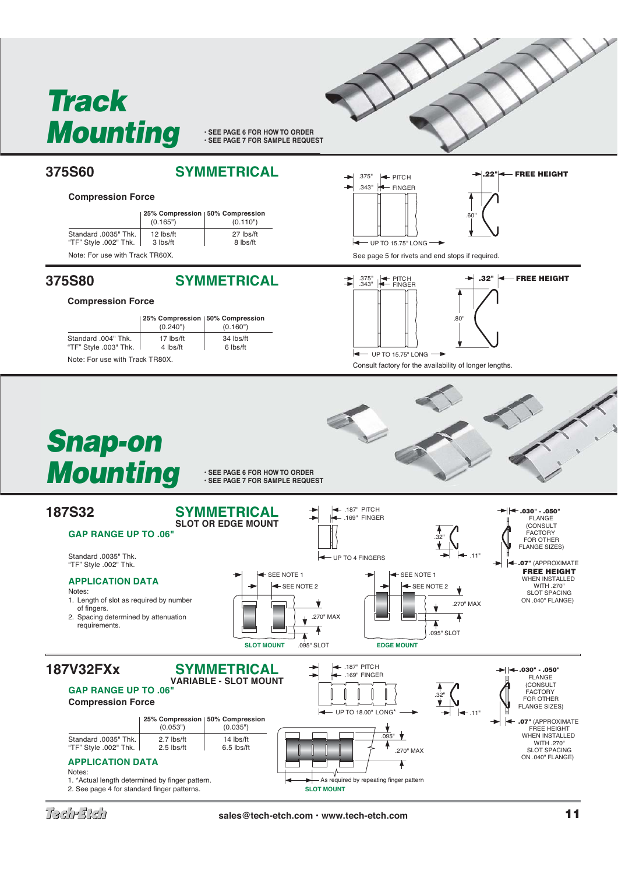

**• SEE PAGE 6 FOR HOW TO ORDER • SEE PAGE 7 FOR SAMPLE REQUEST**

**375S60 SYMMETRICAL**

## **Compression Force**

|                                               | 25% Compression   50% Compression<br>(0.165") | (0.110")              |
|-----------------------------------------------|-----------------------------------------------|-----------------------|
| Standard .0035" Thk.<br>"TF" Style .002" Thk. | 12 lbs/ft<br>3 lbs/ft                         | 27 lbs/ft<br>8 lbs/ft |
| Note: For use with Track TR60X.               |                                               |                       |

## **375S80 SYMMETRICAL**

## **Compression Force** 25% Compression 50% Compression<br>(0.240") (0.160")  $(0.160")$ Standard .004" Thk. 17 lbs/ft 34 lbs/ft <br>
"TF" Style .003" Thk. 4 lbs/ft 6 lbs/ft "TF" Style .003" Thk.

Note: For use with Track TR80X.





**.22" <b>-** FREE HEIGHT

See page 5 for rivets and end stops if required.



UP TO 15.75" LONG سا Consult factory for the availability of longer lengths.



**• SEE PAGE 6 FOR HOW TO ORDER • SEE PAGE 7 FOR SAMPLE REQUEST**



2. See page 4 for standard finger patterns.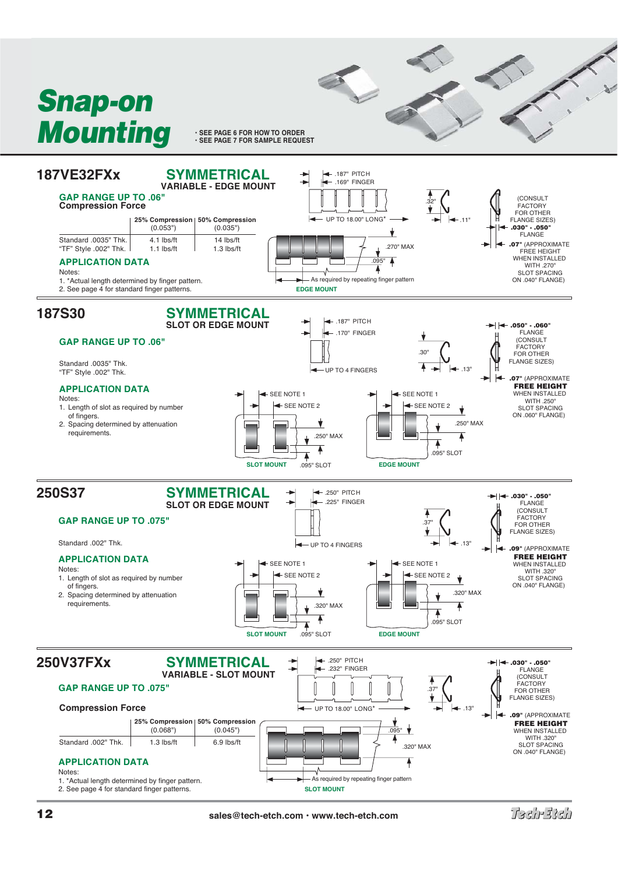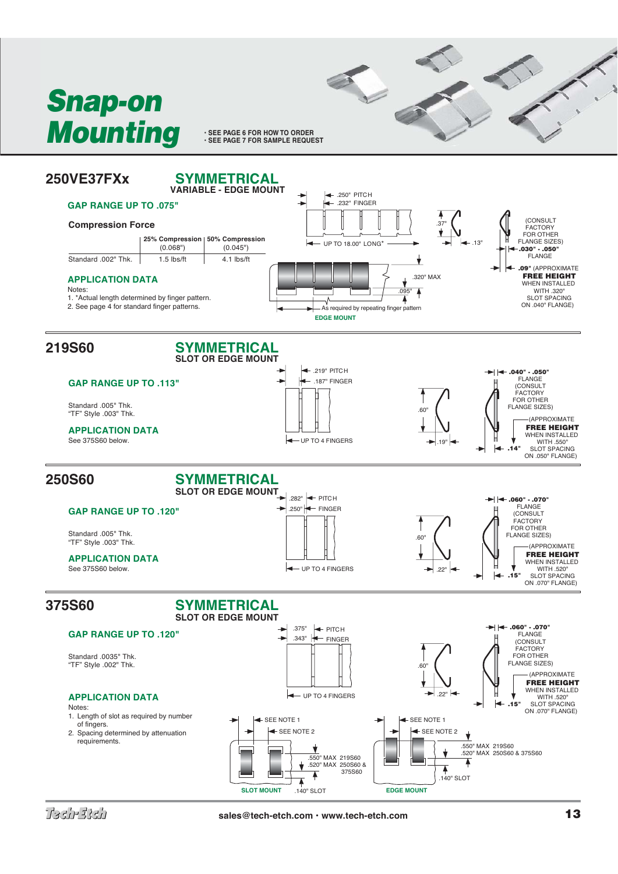

**• SEE PAGE 6 FOR HOW TO ORDER**<br>• SEE PAGE 7 FOR SAMPLE REQUEST

E S